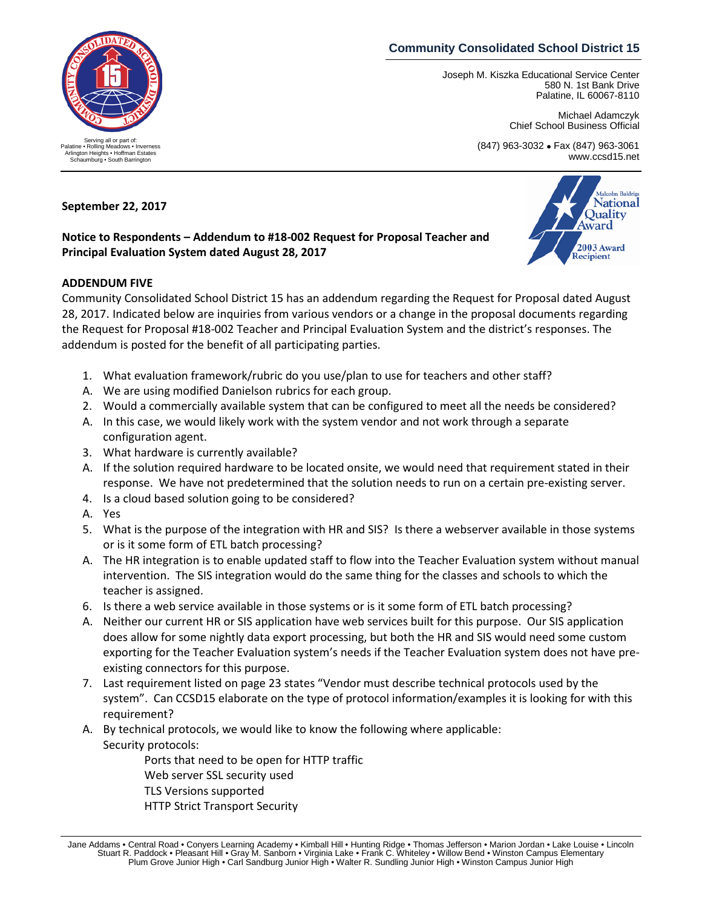## **Community Consolidated School District 15**

Joseph M. Kiszka Educational Service Center 580 N. 1st Bank Drive Palatine, IL 60067-8110

> Michael Adamczyk Chief School Business Official

> > Malcolm Baldrig **National** Ouality Award

2003 Award Recipient

(847) 963-3032 • Fax (847) 963-3061 www.ccsd15.net



**Notice to Respondents – Addendum to #18-002 Request for Proposal Teacher and Principal Evaluation System dated August 28, 2017**

## **ADDENDUM FIVE**

Community Consolidated School District 15 has an addendum regarding the Request for Proposal dated August 28, 2017. Indicated below are inquiries from various vendors or a change in the proposal documents regarding the Request for Proposal #18-002 Teacher and Principal Evaluation System and the district's responses. The addendum is posted for the benefit of all participating parties.

- 1. What evaluation framework/rubric do you use/plan to use for teachers and other staff?
- A. We are using modified Danielson rubrics for each group.
- 2. Would a commercially available system that can be configured to meet all the needs be considered?
- A. In this case, we would likely work with the system vendor and not work through a separate configuration agent.
- 3. What hardware is currently available?
- A. If the solution required hardware to be located onsite, we would need that requirement stated in their response. We have not predetermined that the solution needs to run on a certain pre-existing server.
- 4. Is a cloud based solution going to be considered?
- A. Yes
- 5. What is the purpose of the integration with HR and SIS? Is there a webserver available in those systems or is it some form of ETL batch processing?
- A. The HR integration is to enable updated staff to flow into the Teacher Evaluation system without manual intervention. The SIS integration would do the same thing for the classes and schools to which the teacher is assigned.
- 6. Is there a web service available in those systems or is it some form of ETL batch processing?
- A. Neither our current HR or SIS application have web services built for this purpose. Our SIS application does allow for some nightly data export processing, but both the HR and SIS would need some custom exporting for the Teacher Evaluation system's needs if the Teacher Evaluation system does not have preexisting connectors for this purpose.
- 7. Last requirement listed on page 23 states "Vendor must describe technical protocols used by the system". Can CCSD15 elaborate on the type of protocol information/examples it is looking for with this requirement?
- A. By technical protocols, we would like to know the following where applicable: Security protocols:

Ports that need to be open for HTTP traffic Web server SSL security used TLS Versions supported HTTP Strict Transport Security



Jane Addams • Central Road • Conyers Learning Academy • Kimball Hill • Hunting Ridge • Thomas Jefferson • Marion Jordan • Lake Louise • Lincoln Stuart R. Paddock • Pleasant Hill • Gray M. Sanborn • Virginia Lake • Frank C. Whiteley • Willow Bend • Winston Campus Elementary Plum Grove Junior High • Carl Sandburg Junior High • Walter R. Sundling Junior High • Winston Campus Junior High